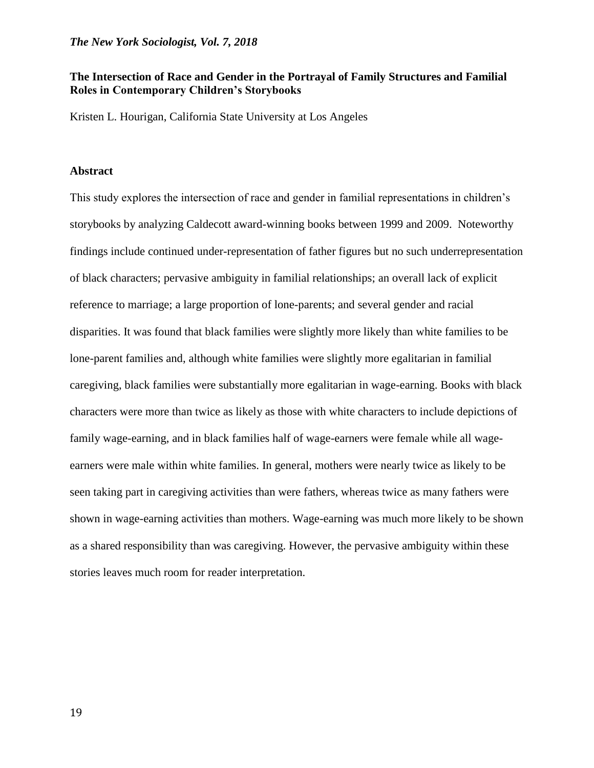## **The Intersection of Race and Gender in the Portrayal of Family Structures and Familial Roles in Contemporary Children's Storybooks**

Kristen L. Hourigan, California State University at Los Angeles

### **Abstract**

This study explores the intersection of race and gender in familial representations in children's storybooks by analyzing Caldecott award-winning books between 1999 and 2009. Noteworthy findings include continued under-representation of father figures but no such underrepresentation of black characters; pervasive ambiguity in familial relationships; an overall lack of explicit reference to marriage; a large proportion of lone-parents; and several gender and racial disparities. It was found that black families were slightly more likely than white families to be lone-parent families and, although white families were slightly more egalitarian in familial caregiving, black families were substantially more egalitarian in wage-earning. Books with black characters were more than twice as likely as those with white characters to include depictions of family wage-earning, and in black families half of wage-earners were female while all wageearners were male within white families. In general, mothers were nearly twice as likely to be seen taking part in caregiving activities than were fathers, whereas twice as many fathers were shown in wage-earning activities than mothers. Wage-earning was much more likely to be shown as a shared responsibility than was caregiving. However, the pervasive ambiguity within these stories leaves much room for reader interpretation.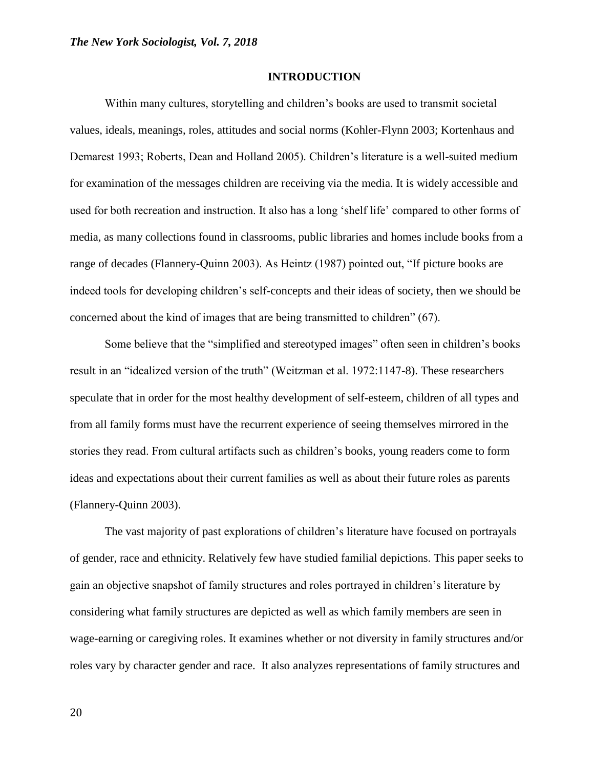#### **INTRODUCTION**

Within many cultures, storytelling and children's books are used to transmit societal values, ideals, meanings, roles, attitudes and social norms (Kohler-Flynn 2003; Kortenhaus and Demarest 1993; Roberts, Dean and Holland 2005). Children's literature is a well-suited medium for examination of the messages children are receiving via the media. It is widely accessible and used for both recreation and instruction. It also has a long 'shelf life' compared to other forms of media, as many collections found in classrooms, public libraries and homes include books from a range of decades (Flannery-Quinn 2003). As Heintz (1987) pointed out, "If picture books are indeed tools for developing children's self-concepts and their ideas of society, then we should be concerned about the kind of images that are being transmitted to children" (67).

Some believe that the "simplified and stereotyped images" often seen in children's books result in an "idealized version of the truth" (Weitzman et al. 1972:1147-8). These researchers speculate that in order for the most healthy development of self-esteem, children of all types and from all family forms must have the recurrent experience of seeing themselves mirrored in the stories they read. From cultural artifacts such as children's books, young readers come to form ideas and expectations about their current families as well as about their future roles as parents (Flannery-Quinn 2003).

The vast majority of past explorations of children's literature have focused on portrayals of gender, race and ethnicity. Relatively few have studied familial depictions. This paper seeks to gain an objective snapshot of family structures and roles portrayed in children's literature by considering what family structures are depicted as well as which family members are seen in wage-earning or caregiving roles. It examines whether or not diversity in family structures and/or roles vary by character gender and race. It also analyzes representations of family structures and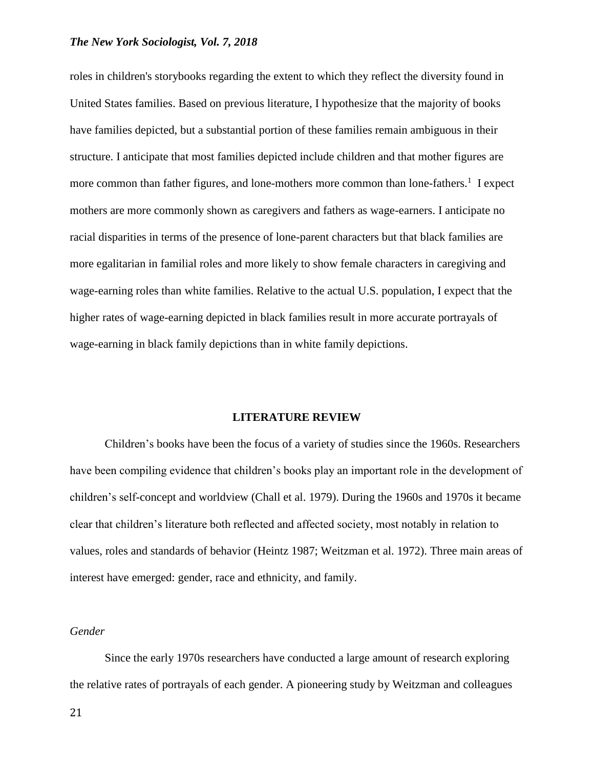roles in children's storybooks regarding the extent to which they reflect the diversity found in United States families. Based on previous literature, I hypothesize that the majority of books have families depicted, but a substantial portion of these families remain ambiguous in their structure. I anticipate that most families depicted include children and that mother figures are more common than father figures, and lone-mothers more common than lone-fathers.<sup>1</sup> I expect mothers are more commonly shown as caregivers and fathers as wage-earners. I anticipate no racial disparities in terms of the presence of lone-parent characters but that black families are more egalitarian in familial roles and more likely to show female characters in caregiving and wage-earning roles than white families. Relative to the actual U.S. population, I expect that the higher rates of wage-earning depicted in black families result in more accurate portrayals of wage-earning in black family depictions than in white family depictions.

#### **LITERATURE REVIEW**

Children's books have been the focus of a variety of studies since the 1960s. Researchers have been compiling evidence that children's books play an important role in the development of children's self-concept and worldview (Chall et al. 1979). During the 1960s and 1970s it became clear that children's literature both reflected and affected society, most notably in relation to values, roles and standards of behavior (Heintz 1987; Weitzman et al. 1972). Three main areas of interest have emerged: gender, race and ethnicity, and family.

### *Gender*

Since the early 1970s researchers have conducted a large amount of research exploring the relative rates of portrayals of each gender. A pioneering study by Weitzman and colleagues

21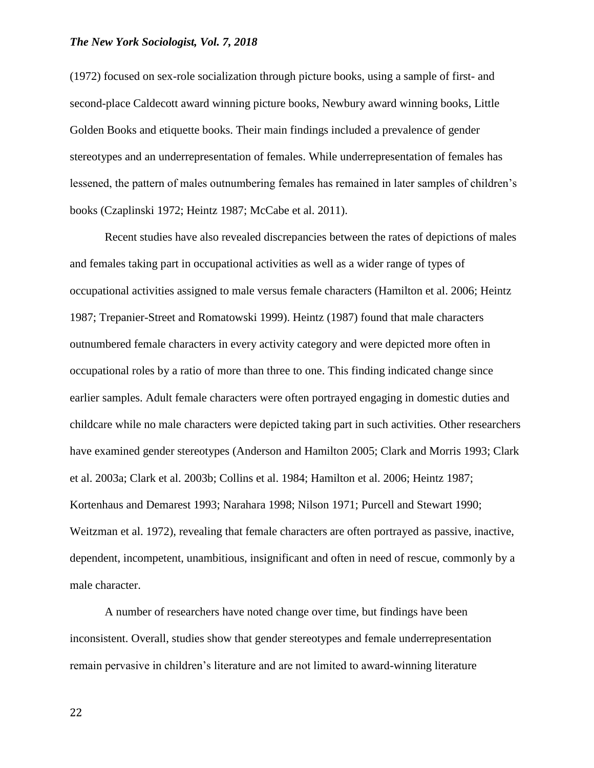(1972) focused on sex-role socialization through picture books, using a sample of first- and second-place Caldecott award winning picture books, Newbury award winning books, Little Golden Books and etiquette books. Their main findings included a prevalence of gender stereotypes and an underrepresentation of females. While underrepresentation of females has lessened, the pattern of males outnumbering females has remained in later samples of children's books (Czaplinski 1972; Heintz 1987; McCabe et al. 2011).

Recent studies have also revealed discrepancies between the rates of depictions of males and females taking part in occupational activities as well as a wider range of types of occupational activities assigned to male versus female characters (Hamilton et al. 2006; Heintz 1987; Trepanier-Street and Romatowski 1999). Heintz (1987) found that male characters outnumbered female characters in every activity category and were depicted more often in occupational roles by a ratio of more than three to one. This finding indicated change since earlier samples. Adult female characters were often portrayed engaging in domestic duties and childcare while no male characters were depicted taking part in such activities. Other researchers have examined gender stereotypes (Anderson and Hamilton 2005; Clark and Morris 1993; Clark et al. 2003a; Clark et al. 2003b; Collins et al. 1984; Hamilton et al. 2006; Heintz 1987; Kortenhaus and Demarest 1993; Narahara 1998; Nilson 1971; Purcell and Stewart 1990; Weitzman et al. 1972), revealing that female characters are often portrayed as passive, inactive, dependent, incompetent, unambitious, insignificant and often in need of rescue, commonly by a male character.

A number of researchers have noted change over time, but findings have been inconsistent. Overall, studies show that gender stereotypes and female underrepresentation remain pervasive in children's literature and are not limited to award-winning literature

22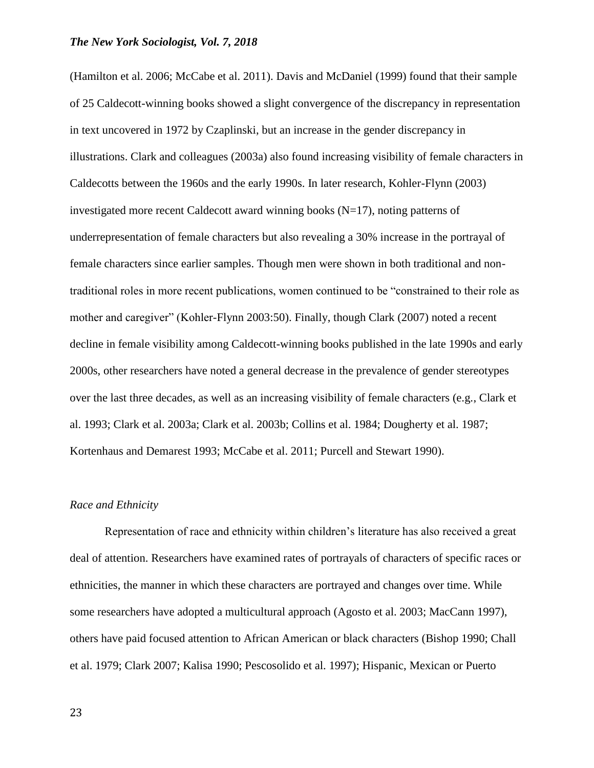(Hamilton et al. 2006; McCabe et al. 2011). Davis and McDaniel (1999) found that their sample of 25 Caldecott-winning books showed a slight convergence of the discrepancy in representation in text uncovered in 1972 by Czaplinski, but an increase in the gender discrepancy in illustrations. Clark and colleagues (2003a) also found increasing visibility of female characters in Caldecotts between the 1960s and the early 1990s. In later research, Kohler-Flynn (2003) investigated more recent Caldecott award winning books (N=17), noting patterns of underrepresentation of female characters but also revealing a 30% increase in the portrayal of female characters since earlier samples. Though men were shown in both traditional and nontraditional roles in more recent publications, women continued to be "constrained to their role as mother and caregiver" (Kohler-Flynn 2003:50). Finally, though Clark (2007) noted a recent decline in female visibility among Caldecott-winning books published in the late 1990s and early 2000s, other researchers have noted a general decrease in the prevalence of gender stereotypes over the last three decades, as well as an increasing visibility of female characters (e.g., Clark et al. 1993; Clark et al. 2003a; Clark et al. 2003b; Collins et al. 1984; Dougherty et al. 1987; Kortenhaus and Demarest 1993; McCabe et al. 2011; Purcell and Stewart 1990).

### *Race and Ethnicity*

Representation of race and ethnicity within children's literature has also received a great deal of attention. Researchers have examined rates of portrayals of characters of specific races or ethnicities, the manner in which these characters are portrayed and changes over time. While some researchers have adopted a multicultural approach (Agosto et al. 2003; MacCann 1997), others have paid focused attention to African American or black characters (Bishop 1990; Chall et al. 1979; Clark 2007; Kalisa 1990; Pescosolido et al. 1997); Hispanic, Mexican or Puerto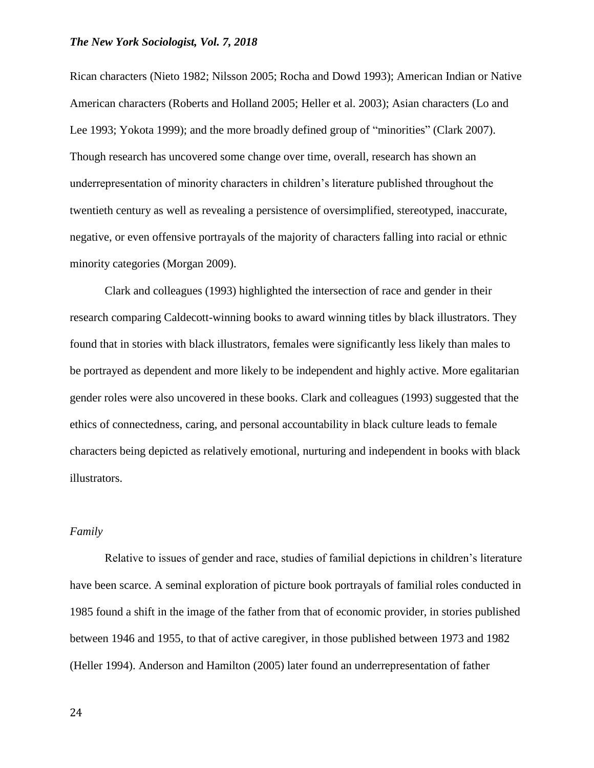Rican characters (Nieto 1982; Nilsson 2005; Rocha and Dowd 1993); American Indian or Native American characters (Roberts and Holland 2005; Heller et al. 2003); Asian characters (Lo and Lee 1993; Yokota 1999); and the more broadly defined group of "minorities" (Clark 2007). Though research has uncovered some change over time, overall, research has shown an underrepresentation of minority characters in children's literature published throughout the twentieth century as well as revealing a persistence of oversimplified, stereotyped, inaccurate, negative, or even offensive portrayals of the majority of characters falling into racial or ethnic minority categories (Morgan 2009).

Clark and colleagues (1993) highlighted the intersection of race and gender in their research comparing Caldecott-winning books to award winning titles by black illustrators. They found that in stories with black illustrators, females were significantly less likely than males to be portrayed as dependent and more likely to be independent and highly active. More egalitarian gender roles were also uncovered in these books. Clark and colleagues (1993) suggested that the ethics of connectedness, caring, and personal accountability in black culture leads to female characters being depicted as relatively emotional, nurturing and independent in books with black illustrators.

#### *Family*

Relative to issues of gender and race, studies of familial depictions in children's literature have been scarce. A seminal exploration of picture book portrayals of familial roles conducted in 1985 found a shift in the image of the father from that of economic provider, in stories published between 1946 and 1955, to that of active caregiver, in those published between 1973 and 1982 (Heller 1994). Anderson and Hamilton (2005) later found an underrepresentation of father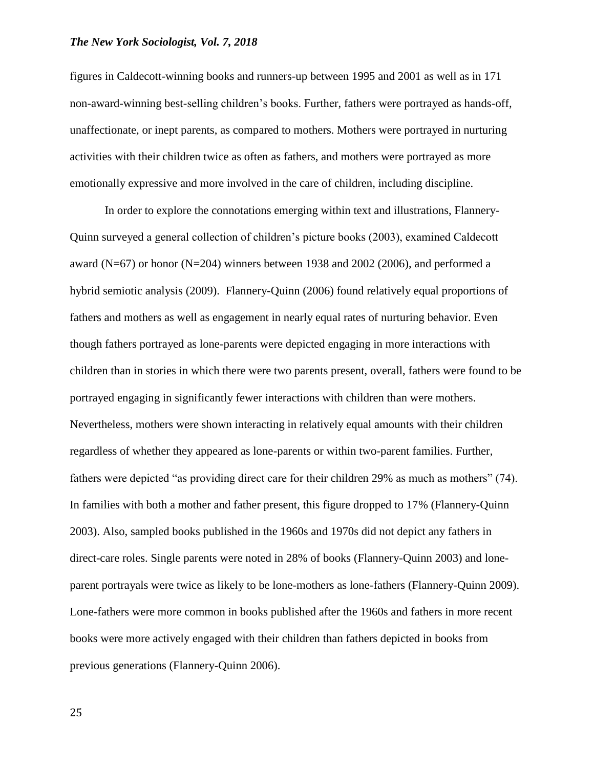figures in Caldecott-winning books and runners-up between 1995 and 2001 as well as in 171 non-award-winning best-selling children's books. Further, fathers were portrayed as hands-off, unaffectionate, or inept parents, as compared to mothers. Mothers were portrayed in nurturing activities with their children twice as often as fathers, and mothers were portrayed as more emotionally expressive and more involved in the care of children, including discipline.

In order to explore the connotations emerging within text and illustrations, Flannery-Quinn surveyed a general collection of children's picture books (2003), examined Caldecott award (N=67) or honor (N=204) winners between 1938 and 2002 (2006), and performed a hybrid semiotic analysis (2009). Flannery-Quinn (2006) found relatively equal proportions of fathers and mothers as well as engagement in nearly equal rates of nurturing behavior. Even though fathers portrayed as lone-parents were depicted engaging in more interactions with children than in stories in which there were two parents present, overall, fathers were found to be portrayed engaging in significantly fewer interactions with children than were mothers. Nevertheless, mothers were shown interacting in relatively equal amounts with their children regardless of whether they appeared as lone-parents or within two-parent families. Further, fathers were depicted "as providing direct care for their children 29% as much as mothers" (74). In families with both a mother and father present, this figure dropped to 17% (Flannery-Quinn 2003). Also, sampled books published in the 1960s and 1970s did not depict any fathers in direct-care roles. Single parents were noted in 28% of books (Flannery-Quinn 2003) and loneparent portrayals were twice as likely to be lone-mothers as lone-fathers (Flannery-Quinn 2009). Lone-fathers were more common in books published after the 1960s and fathers in more recent books were more actively engaged with their children than fathers depicted in books from previous generations (Flannery-Quinn 2006).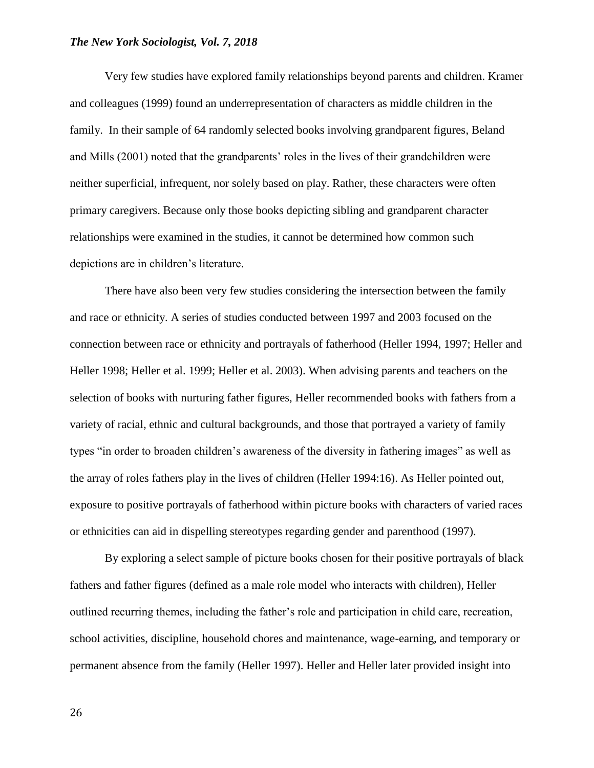Very few studies have explored family relationships beyond parents and children. Kramer and colleagues (1999) found an underrepresentation of characters as middle children in the family. In their sample of 64 randomly selected books involving grandparent figures, Beland and Mills (2001) noted that the grandparents' roles in the lives of their grandchildren were neither superficial, infrequent, nor solely based on play. Rather, these characters were often primary caregivers. Because only those books depicting sibling and grandparent character relationships were examined in the studies, it cannot be determined how common such depictions are in children's literature.

There have also been very few studies considering the intersection between the family and race or ethnicity. A series of studies conducted between 1997 and 2003 focused on the connection between race or ethnicity and portrayals of fatherhood (Heller 1994, 1997; Heller and Heller 1998; Heller et al. 1999; Heller et al. 2003). When advising parents and teachers on the selection of books with nurturing father figures, Heller recommended books with fathers from a variety of racial, ethnic and cultural backgrounds, and those that portrayed a variety of family types "in order to broaden children's awareness of the diversity in fathering images" as well as the array of roles fathers play in the lives of children (Heller 1994:16). As Heller pointed out, exposure to positive portrayals of fatherhood within picture books with characters of varied races or ethnicities can aid in dispelling stereotypes regarding gender and parenthood (1997).

By exploring a select sample of picture books chosen for their positive portrayals of black fathers and father figures (defined as a male role model who interacts with children), Heller outlined recurring themes, including the father's role and participation in child care, recreation, school activities, discipline, household chores and maintenance, wage-earning, and temporary or permanent absence from the family (Heller 1997). Heller and Heller later provided insight into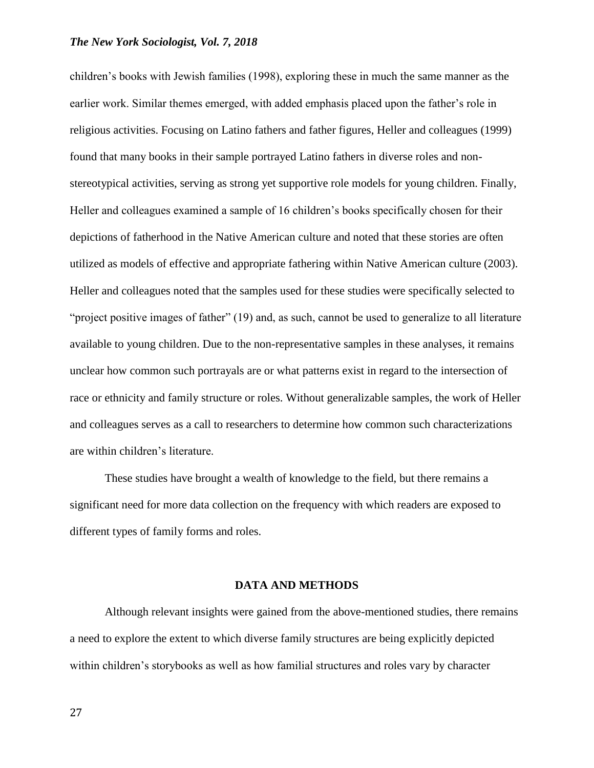children's books with Jewish families (1998), exploring these in much the same manner as the earlier work. Similar themes emerged, with added emphasis placed upon the father's role in religious activities. Focusing on Latino fathers and father figures, Heller and colleagues (1999) found that many books in their sample portrayed Latino fathers in diverse roles and nonstereotypical activities, serving as strong yet supportive role models for young children. Finally, Heller and colleagues examined a sample of 16 children's books specifically chosen for their depictions of fatherhood in the Native American culture and noted that these stories are often utilized as models of effective and appropriate fathering within Native American culture (2003). Heller and colleagues noted that the samples used for these studies were specifically selected to "project positive images of father" (19) and, as such, cannot be used to generalize to all literature available to young children. Due to the non-representative samples in these analyses, it remains unclear how common such portrayals are or what patterns exist in regard to the intersection of race or ethnicity and family structure or roles. Without generalizable samples, the work of Heller and colleagues serves as a call to researchers to determine how common such characterizations are within children's literature.

These studies have brought a wealth of knowledge to the field, but there remains a significant need for more data collection on the frequency with which readers are exposed to different types of family forms and roles.

#### **DATA AND METHODS**

Although relevant insights were gained from the above-mentioned studies, there remains a need to explore the extent to which diverse family structures are being explicitly depicted within children's storybooks as well as how familial structures and roles vary by character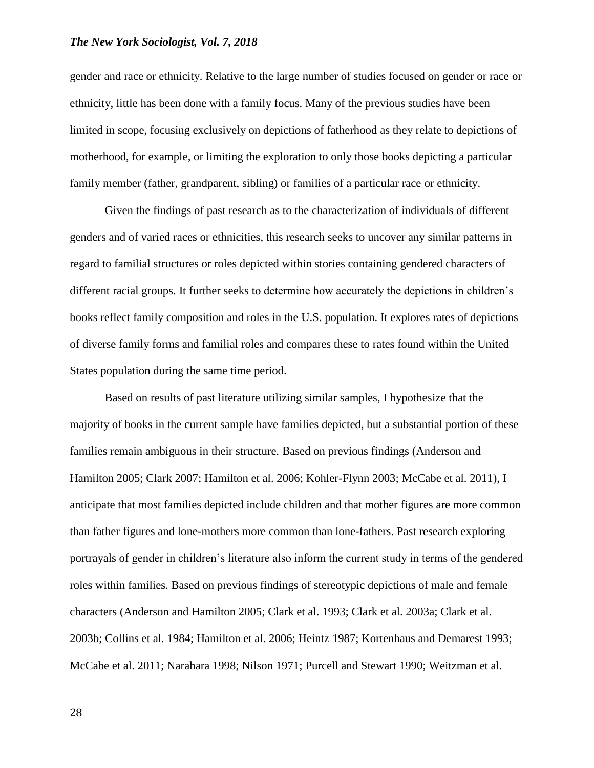gender and race or ethnicity. Relative to the large number of studies focused on gender or race or ethnicity, little has been done with a family focus. Many of the previous studies have been limited in scope, focusing exclusively on depictions of fatherhood as they relate to depictions of motherhood, for example, or limiting the exploration to only those books depicting a particular family member (father, grandparent, sibling) or families of a particular race or ethnicity.

Given the findings of past research as to the characterization of individuals of different genders and of varied races or ethnicities, this research seeks to uncover any similar patterns in regard to familial structures or roles depicted within stories containing gendered characters of different racial groups. It further seeks to determine how accurately the depictions in children's books reflect family composition and roles in the U.S. population. It explores rates of depictions of diverse family forms and familial roles and compares these to rates found within the United States population during the same time period.

Based on results of past literature utilizing similar samples, I hypothesize that the majority of books in the current sample have families depicted, but a substantial portion of these families remain ambiguous in their structure. Based on previous findings (Anderson and Hamilton 2005; Clark 2007; Hamilton et al. 2006; Kohler-Flynn 2003; McCabe et al. 2011), I anticipate that most families depicted include children and that mother figures are more common than father figures and lone-mothers more common than lone-fathers. Past research exploring portrayals of gender in children's literature also inform the current study in terms of the gendered roles within families. Based on previous findings of stereotypic depictions of male and female characters (Anderson and Hamilton 2005; Clark et al. 1993; Clark et al. 2003a; Clark et al. 2003b; Collins et al. 1984; Hamilton et al. 2006; Heintz 1987; Kortenhaus and Demarest 1993; McCabe et al. 2011; Narahara 1998; Nilson 1971; Purcell and Stewart 1990; Weitzman et al.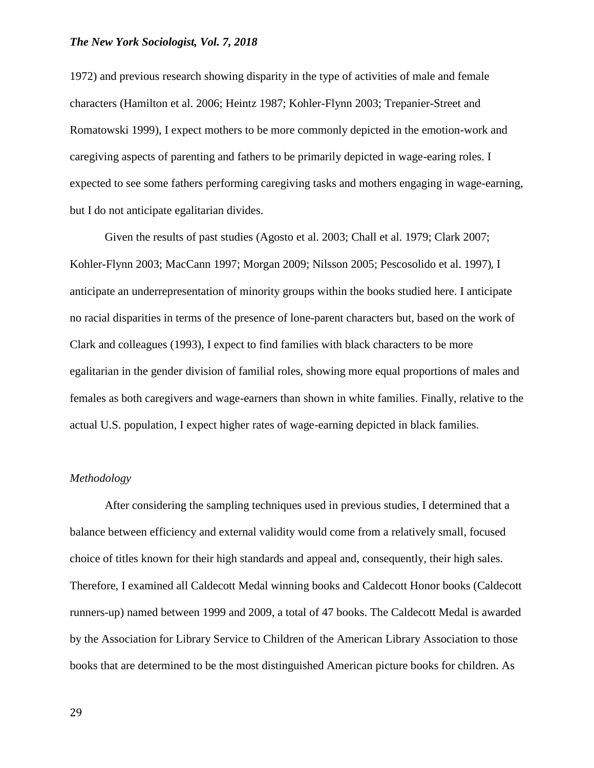1972) and previous research showing disparity in the type of activities of male and female characters (Hamilton et al. 2006; Heintz 1987; Kohler-Flynn 2003; Trepanier-Street and Romatowski 1999), I expect mothers to be more commonly depicted in the emotion-work and caregiving aspects of parenting and fathers to be primarily depicted in wage-earing roles. I expected to see some fathers performing caregiving tasks and mothers engaging in wage-earning, but I do not anticipate egalitarian divides.

Given the results of past studies (Agosto et al. 2003; Chall et al. 1979; Clark 2007; Kohler-Flynn 2003; MacCann 1997; Morgan 2009; Nilsson 2005; Pescosolido et al. 1997), I anticipate an underrepresentation of minority groups within the books studied here. I anticipate no racial disparities in terms of the presence of lone-parent characters but, based on the work of Clark and colleagues (1993), I expect to find families with black characters to be more egalitarian in the gender division of familial roles, showing more equal proportions of males and females as both caregivers and wage-earners than shown in white families. Finally, relative to the actual U.S. population, I expect higher rates of wage-earning depicted in black families.

#### *Methodology*

After considering the sampling techniques used in previous studies, I determined that a balance between efficiency and external validity would come from a relatively small, focused choice of titles known for their high standards and appeal and, consequently, their high sales. Therefore, I examined all Caldecott Medal winning books and Caldecott Honor books (Caldecott runners-up) named between 1999 and 2009, a total of 47 books. The Caldecott Medal is awarded by the Association for Library Service to Children of the American Library Association to those books that are determined to be the most distinguished American picture books for children. As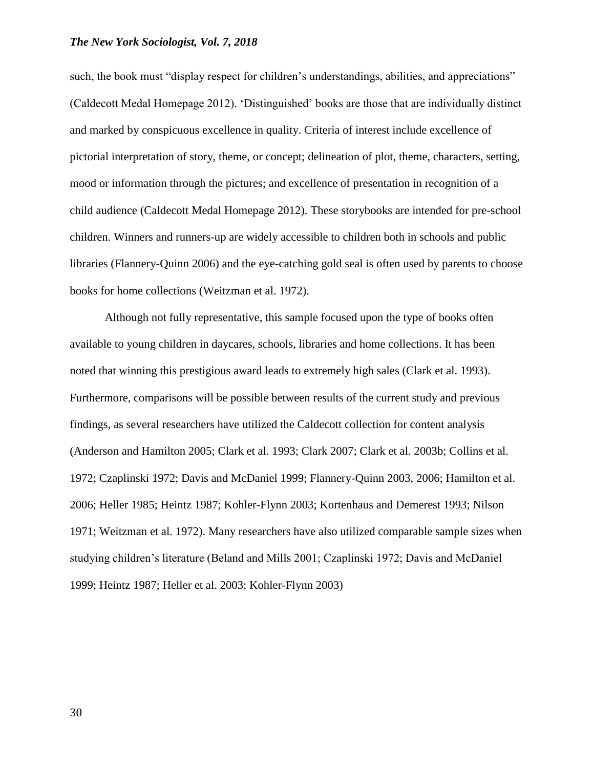such, the book must "display respect for children's understandings, abilities, and appreciations" (Caldecott Medal Homepage 2012). 'Distinguished' books are those that are individually distinct and marked by conspicuous excellence in quality. Criteria of interest include excellence of pictorial interpretation of story, theme, or concept; delineation of plot, theme, characters, setting, mood or information through the pictures; and excellence of presentation in recognition of a child audience (Caldecott Medal Homepage 2012). These storybooks are intended for pre-school children. Winners and runners-up are widely accessible to children both in schools and public libraries (Flannery-Quinn 2006) and the eye-catching gold seal is often used by parents to choose books for home collections (Weitzman et al. 1972).

Although not fully representative, this sample focused upon the type of books often available to young children in daycares, schools, libraries and home collections. It has been noted that winning this prestigious award leads to extremely high sales (Clark et al. 1993). Furthermore, comparisons will be possible between results of the current study and previous findings, as several researchers have utilized the Caldecott collection for content analysis (Anderson and Hamilton 2005; Clark et al. 1993; Clark 2007; Clark et al. 2003b; Collins et al. 1972; Czaplinski 1972; Davis and McDaniel 1999; Flannery-Quinn 2003, 2006; Hamilton et al. 2006; Heller 1985; Heintz 1987; Kohler-Flynn 2003; Kortenhaus and Demerest 1993; Nilson 1971; Weitzman et al. 1972). Many researchers have also utilized comparable sample sizes when studying children's literature (Beland and Mills 2001; Czaplinski 1972; Davis and McDaniel 1999; Heintz 1987; Heller et al. 2003; Kohler-Flynn 2003)

30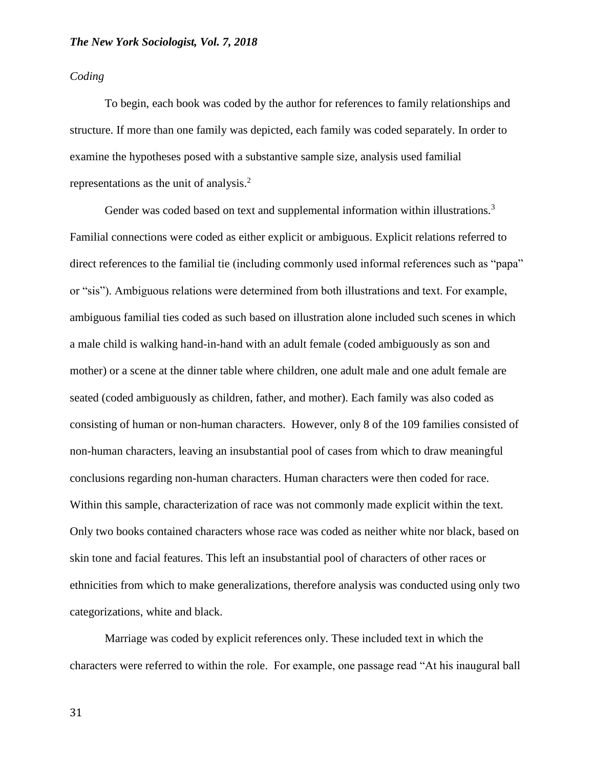*Coding*

To begin, each book was coded by the author for references to family relationships and structure. If more than one family was depicted, each family was coded separately. In order to examine the hypotheses posed with a substantive sample size, analysis used familial representations as the unit of analysis.<sup>2</sup>

Gender was coded based on text and supplemental information within illustrations.<sup>3</sup> Familial connections were coded as either explicit or ambiguous. Explicit relations referred to direct references to the familial tie (including commonly used informal references such as "papa" or "sis"). Ambiguous relations were determined from both illustrations and text. For example, ambiguous familial ties coded as such based on illustration alone included such scenes in which a male child is walking hand-in-hand with an adult female (coded ambiguously as son and mother) or a scene at the dinner table where children, one adult male and one adult female are seated (coded ambiguously as children, father, and mother). Each family was also coded as consisting of human or non-human characters. However, only 8 of the 109 families consisted of non-human characters, leaving an insubstantial pool of cases from which to draw meaningful conclusions regarding non-human characters. Human characters were then coded for race. Within this sample, characterization of race was not commonly made explicit within the text. Only two books contained characters whose race was coded as neither white nor black, based on skin tone and facial features. This left an insubstantial pool of characters of other races or ethnicities from which to make generalizations, therefore analysis was conducted using only two categorizations, white and black.

Marriage was coded by explicit references only. These included text in which the characters were referred to within the role. For example, one passage read "At his inaugural ball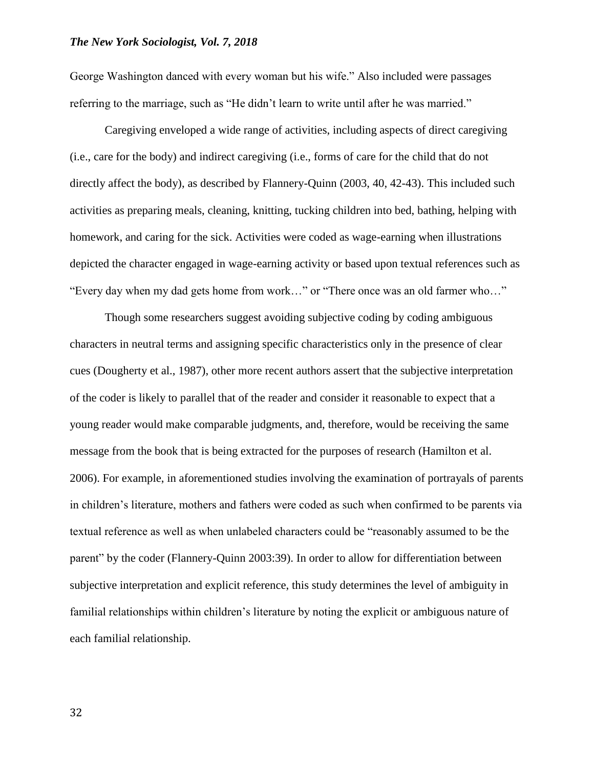George Washington danced with every woman but his wife." Also included were passages referring to the marriage, such as "He didn't learn to write until after he was married."

Caregiving enveloped a wide range of activities, including aspects of direct caregiving (i.e., care for the body) and indirect caregiving (i.e., forms of care for the child that do not directly affect the body), as described by Flannery-Quinn (2003, 40, 42-43). This included such activities as preparing meals, cleaning, knitting, tucking children into bed, bathing, helping with homework, and caring for the sick. Activities were coded as wage-earning when illustrations depicted the character engaged in wage-earning activity or based upon textual references such as "Every day when my dad gets home from work…" or "There once was an old farmer who…"

Though some researchers suggest avoiding subjective coding by coding ambiguous characters in neutral terms and assigning specific characteristics only in the presence of clear cues (Dougherty et al., 1987), other more recent authors assert that the subjective interpretation of the coder is likely to parallel that of the reader and consider it reasonable to expect that a young reader would make comparable judgments, and, therefore, would be receiving the same message from the book that is being extracted for the purposes of research (Hamilton et al. 2006). For example, in aforementioned studies involving the examination of portrayals of parents in children's literature, mothers and fathers were coded as such when confirmed to be parents via textual reference as well as when unlabeled characters could be "reasonably assumed to be the parent" by the coder (Flannery-Quinn 2003:39). In order to allow for differentiation between subjective interpretation and explicit reference, this study determines the level of ambiguity in familial relationships within children's literature by noting the explicit or ambiguous nature of each familial relationship.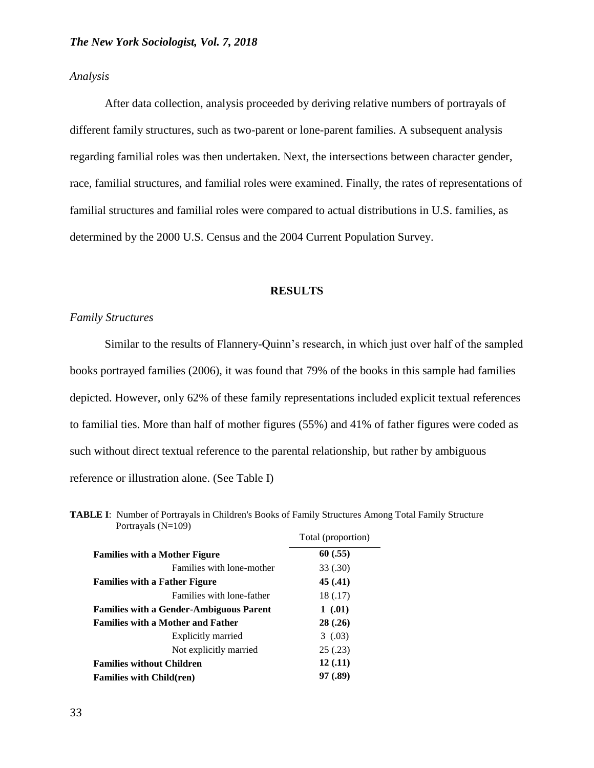#### *Analysis*

After data collection, analysis proceeded by deriving relative numbers of portrayals of different family structures, such as two-parent or lone-parent families. A subsequent analysis regarding familial roles was then undertaken. Next, the intersections between character gender, race, familial structures, and familial roles were examined. Finally, the rates of representations of familial structures and familial roles were compared to actual distributions in U.S. families, as determined by the 2000 U.S. Census and the 2004 Current Population Survey.

#### **RESULTS**

#### *Family Structures*

Similar to the results of Flannery-Quinn's research, in which just over half of the sampled books portrayed families (2006), it was found that 79% of the books in this sample had families depicted. However, only 62% of these family representations included explicit textual references to familial ties. More than half of mother figures (55%) and 41% of father figures were coded as such without direct textual reference to the parental relationship, but rather by ambiguous reference or illustration alone. (See Table I)

|                                                | Total (proportion) |  |  |
|------------------------------------------------|--------------------|--|--|
| <b>Families with a Mother Figure</b>           | 60(.55)            |  |  |
| Families with lone-mother                      | 33 (.30)           |  |  |
| <b>Families with a Father Figure</b>           | 45 (.41)           |  |  |
| Families with lone-father                      | 18 (.17)           |  |  |
| <b>Families with a Gender-Ambiguous Parent</b> | 1(.01)             |  |  |
| <b>Families with a Mother and Father</b>       | 28(.26)            |  |  |
| Explicitly married                             | 3(0.03)            |  |  |
| Not explicitly married                         | 25(.23)            |  |  |
| <b>Families without Children</b>               | 12(.11)            |  |  |
| <b>Families with Child(ren)</b>                | 97 (.89)           |  |  |

**TABLE I**: Number of Portrayals in Children's Books of Family Structures Among Total Family Structure Portrayals  $(N=109)$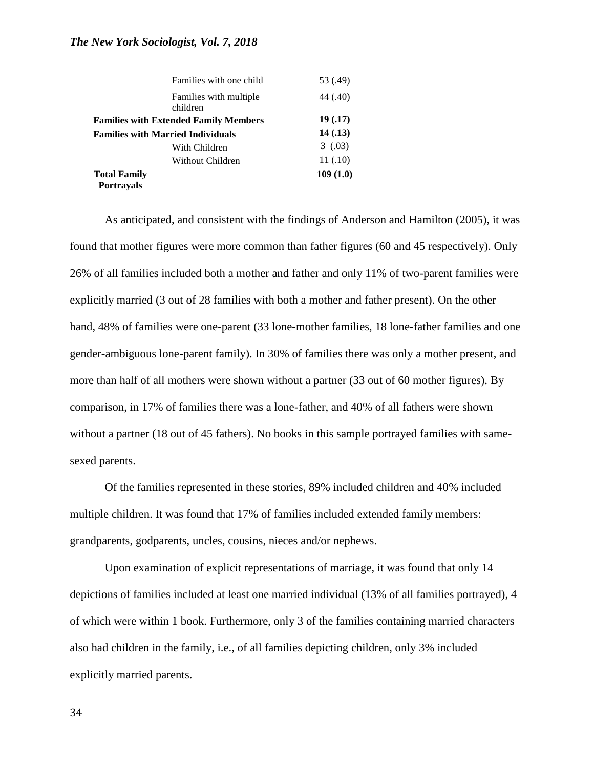| <b>Portravals</b>                            |                                    |          |
|----------------------------------------------|------------------------------------|----------|
| <b>Total Family</b>                          |                                    | 109(1.0) |
|                                              | Without Children                   | 11 (.10) |
|                                              | With Children                      | 3(0.03)  |
| <b>Families with Married Individuals</b>     |                                    | 14(0.13) |
| <b>Families with Extended Family Members</b> |                                    | 19 (.17) |
|                                              | Families with multiple<br>children | 44 (.40) |
|                                              | Families with one child            | 53 (.49) |
|                                              |                                    |          |

As anticipated, and consistent with the findings of Anderson and Hamilton (2005), it was found that mother figures were more common than father figures (60 and 45 respectively). Only 26% of all families included both a mother and father and only 11% of two-parent families were explicitly married (3 out of 28 families with both a mother and father present). On the other hand, 48% of families were one-parent (33 lone-mother families, 18 lone-father families and one gender-ambiguous lone-parent family). In 30% of families there was only a mother present, and more than half of all mothers were shown without a partner (33 out of 60 mother figures). By comparison, in 17% of families there was a lone-father, and 40% of all fathers were shown without a partner (18 out of 45 fathers). No books in this sample portrayed families with samesexed parents.

Of the families represented in these stories, 89% included children and 40% included multiple children. It was found that 17% of families included extended family members: grandparents, godparents, uncles, cousins, nieces and/or nephews.

Upon examination of explicit representations of marriage, it was found that only 14 depictions of families included at least one married individual (13% of all families portrayed), 4 of which were within 1 book. Furthermore, only 3 of the families containing married characters also had children in the family, i.e., of all families depicting children, only 3% included explicitly married parents.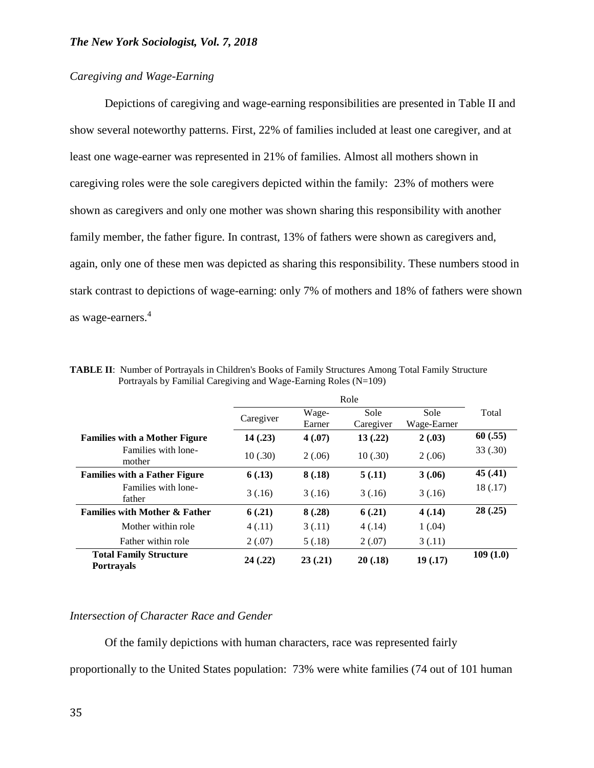# *Caregiving and Wage-Earning*

Depictions of caregiving and wage-earning responsibilities are presented in Table II and show several noteworthy patterns. First, 22% of families included at least one caregiver, and at least one wage-earner was represented in 21% of families. Almost all mothers shown in caregiving roles were the sole caregivers depicted within the family: 23% of mothers were shown as caregivers and only one mother was shown sharing this responsibility with another family member, the father figure. In contrast, 13% of fathers were shown as caregivers and, again, only one of these men was depicted as sharing this responsibility. These numbers stood in stark contrast to depictions of wage-earning: only 7% of mothers and 18% of fathers were shown as wage-earners.<sup>4</sup>

|                                                    | Role      |                 |                   |                     |          |
|----------------------------------------------------|-----------|-----------------|-------------------|---------------------|----------|
|                                                    | Caregiver | Wage-<br>Earner | Sole<br>Caregiver | Sole<br>Wage-Earner | Total    |
| <b>Families with a Mother Figure</b>               | 14(.23)   | 4(.07)          | 13(.22)           | 2(.03)              | 60(.55)  |
| Families with lone-<br>mother                      | 10(.30)   | 2(.06)          | 10(.30)           | 2(.06)              | 33 (.30) |
| <b>Families with a Father Figure</b>               | 6(.13)    | 8(.18)          | 5(.11)            | 3(.06)              | 45(.41)  |
| Families with lone-<br>father                      | 3(.16)    | 3(.16)          | 3(.16)            | 3(.16)              | 18 (.17) |
| <b>Families with Mother &amp; Father</b>           | 6(.21)    | 8(.28)          | 6(.21)            | 4(0.14)             | 28(.25)  |
| Mother within role                                 | 4(.11)    | 3(0.11)         | 4(.14)            | 1(.04)              |          |
| Father within role                                 | 2(.07)    | 5(.18)          | 2(.07)            | 3(0.11)             |          |
| <b>Total Family Structure</b><br><b>Portravals</b> | 24(.22)   | 23(0.21)        | 20(.18)           | 19(.17)             | 109(1.0) |

**TABLE II**: Number of Portrayals in Children's Books of Family Structures Among Total Family Structure Portrayals by Familial Caregiving and Wage-Earning Roles (N=109)

### *Intersection of Character Race and Gender*

Of the family depictions with human characters, race was represented fairly proportionally to the United States population: 73% were white families (74 out of 101 human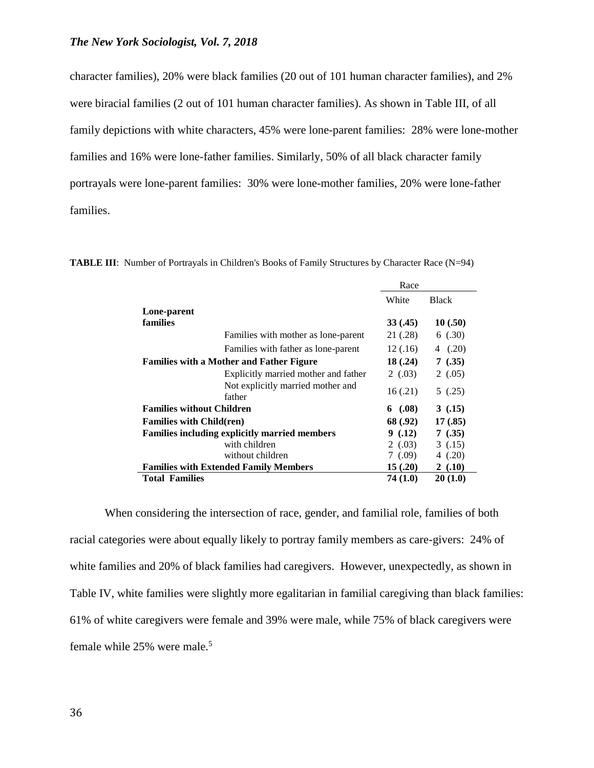character families), 20% were black families (20 out of 101 human character families), and 2% were biracial families (2 out of 101 human character families). As shown in Table III, of all family depictions with white characters, 45% were lone-parent families: 28% were lone-mother families and 16% were lone-father families. Similarly, 50% of all black character family portrayals were lone-parent families: 30% were lone-mother families, 20% were lone-father families.

|                                  |                                                      | Race      |              |
|----------------------------------|------------------------------------------------------|-----------|--------------|
|                                  |                                                      | White     | <b>Black</b> |
| Lone-parent                      |                                                      |           |              |
| families                         |                                                      | 33(0.45)  | 10(.50)      |
|                                  | Families with mother as lone-parent                  | 21 (.28)  | 6(.30)       |
|                                  | Families with father as lone-parent                  | 12(.16)   | 4(0.20)      |
|                                  | <b>Families with a Mother and Father Figure</b>      | 18(.24)   | 7(0.35)      |
|                                  | Explicitly married mother and father                 | 2(0.03)   | 2(0.05)      |
|                                  | Not explicitly married mother and<br>father          | 16(.21)   | 5(0.25)      |
| <b>Families without Children</b> |                                                      | 6 $(.08)$ | 3(.15)       |
| <b>Families with Child(ren)</b>  |                                                      | 68 (.92)  | 17(.85)      |
|                                  | <b>Families including explicitly married members</b> | 9(0.12)   | 7(0.35)      |
|                                  | with children                                        | 2(0.03)   | 3(0.15)      |
|                                  | without children                                     | 7(0.09)   | 4 $(.20)$    |
|                                  | <b>Families with Extended Family Members</b>         | 15(.20)   | 2(.10)       |
| <b>Total Families</b>            |                                                      | 74 (1.0)  | 20(1.0)      |

**TABLE III**: Number of Portrayals in Children's Books of Family Structures by Character Race (N=94)

When considering the intersection of race, gender, and familial role, families of both racial categories were about equally likely to portray family members as care-givers: 24% of white families and 20% of black families had caregivers. However, unexpectedly, as shown in Table IV, white families were slightly more egalitarian in familial caregiving than black families: 61% of white caregivers were female and 39% were male, while 75% of black caregivers were female while 25% were male.<sup>5</sup>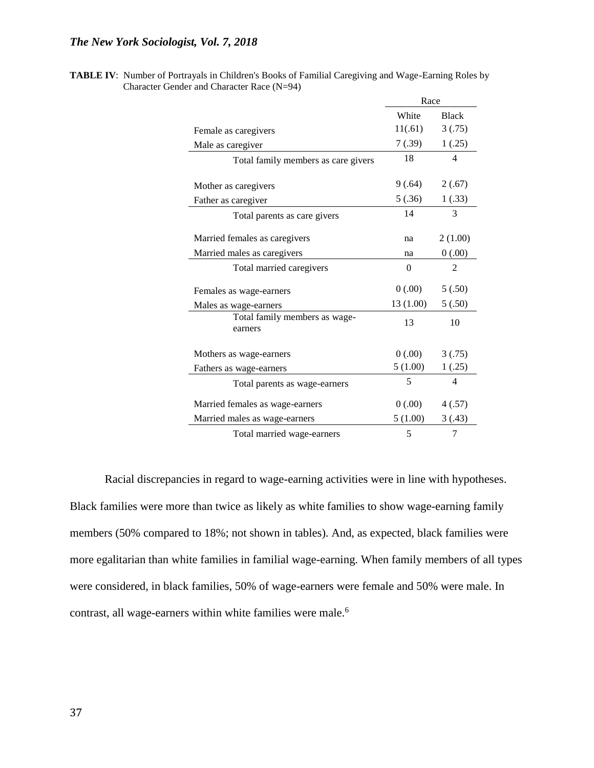| <b>TABLE IV:</b> Number of Portrayals in Children's Books of Familial Caregiving and Wage-Earning Roles by |
|------------------------------------------------------------------------------------------------------------|
| Character Gender and Character Race $(N=94)$                                                               |

|                                          | Race      |                |
|------------------------------------------|-----------|----------------|
|                                          | White     | <b>Black</b>   |
| Female as caregivers                     | 11(.61)   | 3(.75)         |
| Male as caregiver                        | 7(.39)    | 1(.25)         |
| Total family members as care givers      | 18        | 4              |
|                                          |           |                |
| Mother as caregivers                     | 9(.64)    | 2(.67)         |
| Father as caregiver                      | 5(.36)    | 1(.33)         |
| Total parents as care givers             | 14        | 3              |
|                                          |           |                |
| Married females as caregivers            | na        | 2(1.00)        |
| Married males as caregivers              | na        | 0(.00)         |
| Total married caregivers                 | $\Omega$  | 2              |
| Females as wage-earners                  | (00.00)   | 5(.50)         |
| Males as wage-earners                    | 13 (1.00) | 5(.50)         |
| Total family members as wage-<br>earners | 13        | 10             |
|                                          |           |                |
| Mothers as wage-earners                  | (00.00)   | 3(.75)         |
| Fathers as wage-earners                  | 5(1.00)   | 1(.25)         |
| Total parents as wage-earners            | 5         | $\overline{4}$ |
| Married females as wage-earners          | 0(.00)    | 4(.57)         |
| Married males as wage-earners            | 5(1.00)   | 3(.43)         |
| Total married wage-earners               | 5         | 7              |

Racial discrepancies in regard to wage-earning activities were in line with hypotheses. Black families were more than twice as likely as white families to show wage-earning family members (50% compared to 18%; not shown in tables). And, as expected, black families were more egalitarian than white families in familial wage-earning. When family members of all types were considered, in black families, 50% of wage-earners were female and 50% were male. In contrast, all wage-earners within white families were male.<sup>6</sup>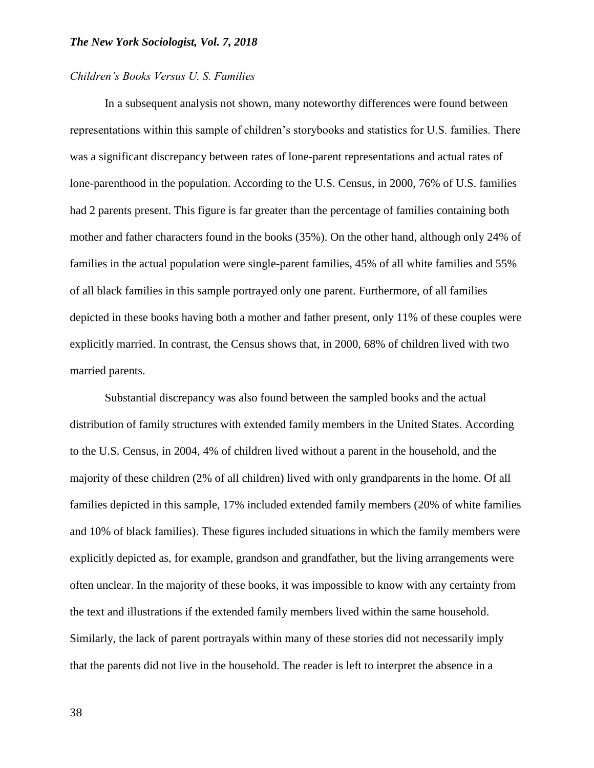#### *Children's Books Versus U. S. Families*

In a subsequent analysis not shown, many noteworthy differences were found between representations within this sample of children's storybooks and statistics for U.S. families. There was a significant discrepancy between rates of lone-parent representations and actual rates of lone-parenthood in the population. According to the U.S. Census, in 2000, 76% of U.S. families had 2 parents present. This figure is far greater than the percentage of families containing both mother and father characters found in the books (35%). On the other hand, although only 24% of families in the actual population were single-parent families, 45% of all white families and 55% of all black families in this sample portrayed only one parent. Furthermore, of all families depicted in these books having both a mother and father present, only 11% of these couples were explicitly married. In contrast, the Census shows that, in 2000, 68% of children lived with two married parents.

Substantial discrepancy was also found between the sampled books and the actual distribution of family structures with extended family members in the United States. According to the U.S. Census, in 2004, 4% of children lived without a parent in the household, and the majority of these children (2% of all children) lived with only grandparents in the home. Of all families depicted in this sample, 17% included extended family members (20% of white families and 10% of black families). These figures included situations in which the family members were explicitly depicted as, for example, grandson and grandfather, but the living arrangements were often unclear. In the majority of these books, it was impossible to know with any certainty from the text and illustrations if the extended family members lived within the same household. Similarly, the lack of parent portrayals within many of these stories did not necessarily imply that the parents did not live in the household. The reader is left to interpret the absence in a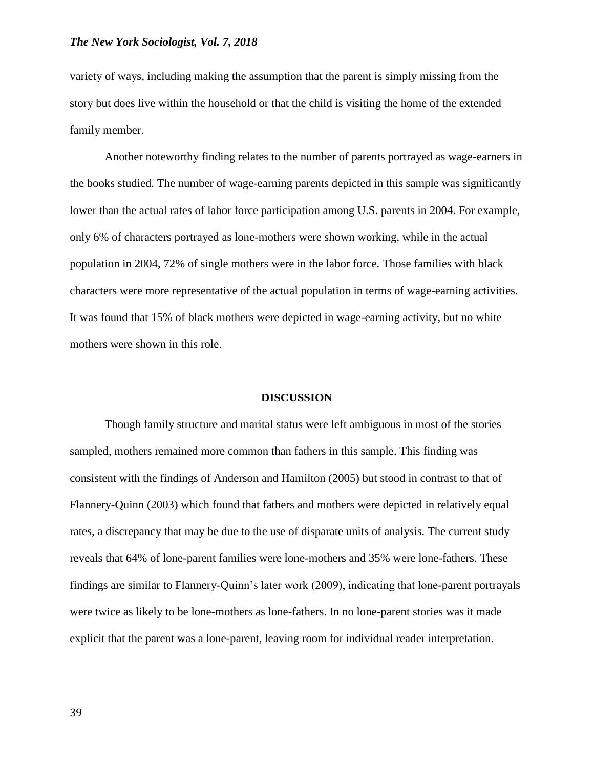variety of ways, including making the assumption that the parent is simply missing from the story but does live within the household or that the child is visiting the home of the extended family member.

Another noteworthy finding relates to the number of parents portrayed as wage-earners in the books studied. The number of wage-earning parents depicted in this sample was significantly lower than the actual rates of labor force participation among U.S. parents in 2004. For example, only 6% of characters portrayed as lone-mothers were shown working, while in the actual population in 2004, 72% of single mothers were in the labor force. Those families with black characters were more representative of the actual population in terms of wage-earning activities. It was found that 15% of black mothers were depicted in wage-earning activity, but no white mothers were shown in this role.

#### **DISCUSSION**

Though family structure and marital status were left ambiguous in most of the stories sampled, mothers remained more common than fathers in this sample. This finding was consistent with the findings of Anderson and Hamilton (2005) but stood in contrast to that of Flannery-Quinn (2003) which found that fathers and mothers were depicted in relatively equal rates, a discrepancy that may be due to the use of disparate units of analysis. The current study reveals that 64% of lone-parent families were lone-mothers and 35% were lone-fathers. These findings are similar to Flannery-Quinn's later work (2009), indicating that lone-parent portrayals were twice as likely to be lone-mothers as lone-fathers. In no lone-parent stories was it made explicit that the parent was a lone-parent, leaving room for individual reader interpretation.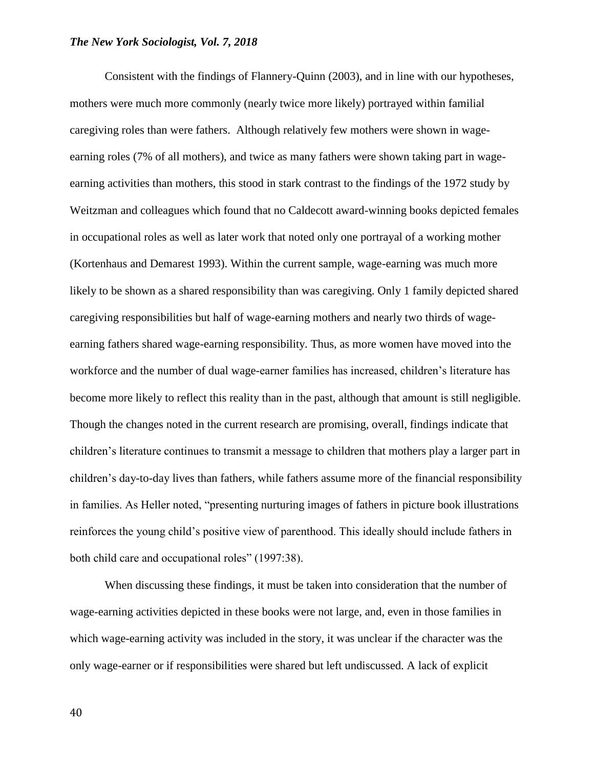Consistent with the findings of Flannery-Quinn (2003), and in line with our hypotheses, mothers were much more commonly (nearly twice more likely) portrayed within familial caregiving roles than were fathers. Although relatively few mothers were shown in wageearning roles (7% of all mothers), and twice as many fathers were shown taking part in wageearning activities than mothers, this stood in stark contrast to the findings of the 1972 study by Weitzman and colleagues which found that no Caldecott award-winning books depicted females in occupational roles as well as later work that noted only one portrayal of a working mother (Kortenhaus and Demarest 1993). Within the current sample, wage-earning was much more likely to be shown as a shared responsibility than was caregiving. Only 1 family depicted shared caregiving responsibilities but half of wage-earning mothers and nearly two thirds of wageearning fathers shared wage-earning responsibility. Thus, as more women have moved into the workforce and the number of dual wage-earner families has increased, children's literature has become more likely to reflect this reality than in the past, although that amount is still negligible. Though the changes noted in the current research are promising, overall, findings indicate that children's literature continues to transmit a message to children that mothers play a larger part in children's day-to-day lives than fathers, while fathers assume more of the financial responsibility in families. As Heller noted, "presenting nurturing images of fathers in picture book illustrations reinforces the young child's positive view of parenthood. This ideally should include fathers in both child care and occupational roles" (1997:38).

When discussing these findings, it must be taken into consideration that the number of wage-earning activities depicted in these books were not large, and, even in those families in which wage-earning activity was included in the story, it was unclear if the character was the only wage-earner or if responsibilities were shared but left undiscussed. A lack of explicit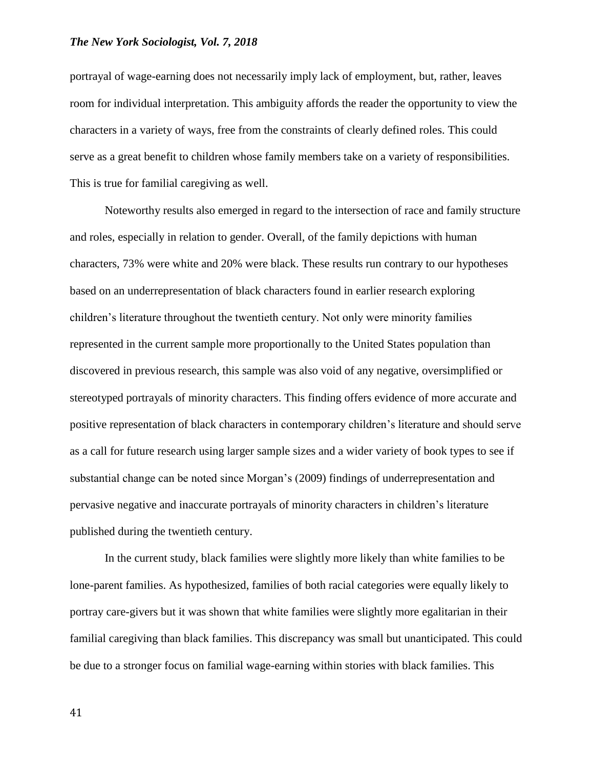portrayal of wage-earning does not necessarily imply lack of employment, but, rather, leaves room for individual interpretation. This ambiguity affords the reader the opportunity to view the characters in a variety of ways, free from the constraints of clearly defined roles. This could serve as a great benefit to children whose family members take on a variety of responsibilities. This is true for familial caregiving as well.

Noteworthy results also emerged in regard to the intersection of race and family structure and roles, especially in relation to gender. Overall, of the family depictions with human characters, 73% were white and 20% were black. These results run contrary to our hypotheses based on an underrepresentation of black characters found in earlier research exploring children's literature throughout the twentieth century. Not only were minority families represented in the current sample more proportionally to the United States population than discovered in previous research, this sample was also void of any negative, oversimplified or stereotyped portrayals of minority characters. This finding offers evidence of more accurate and positive representation of black characters in contemporary children's literature and should serve as a call for future research using larger sample sizes and a wider variety of book types to see if substantial change can be noted since Morgan's (2009) findings of underrepresentation and pervasive negative and inaccurate portrayals of minority characters in children's literature published during the twentieth century.

In the current study, black families were slightly more likely than white families to be lone-parent families. As hypothesized, families of both racial categories were equally likely to portray care-givers but it was shown that white families were slightly more egalitarian in their familial caregiving than black families. This discrepancy was small but unanticipated. This could be due to a stronger focus on familial wage-earning within stories with black families. This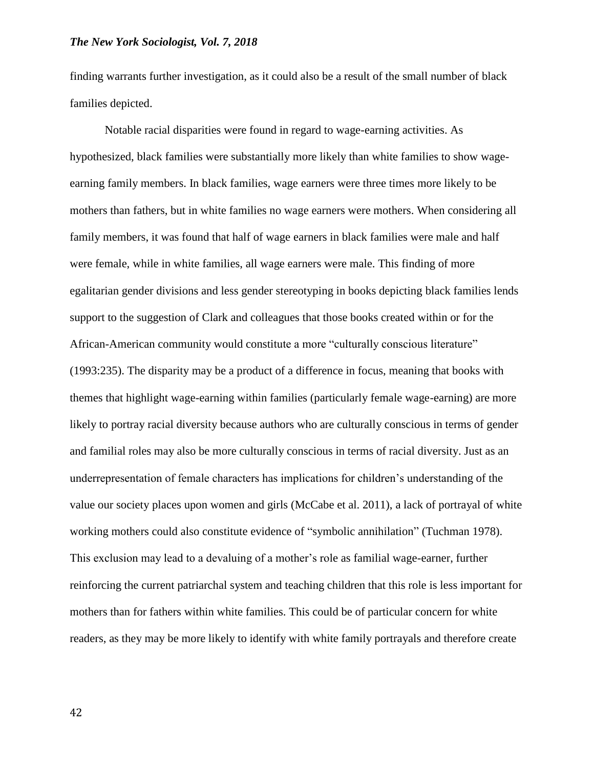finding warrants further investigation, as it could also be a result of the small number of black families depicted.

Notable racial disparities were found in regard to wage-earning activities. As hypothesized, black families were substantially more likely than white families to show wageearning family members. In black families, wage earners were three times more likely to be mothers than fathers, but in white families no wage earners were mothers. When considering all family members, it was found that half of wage earners in black families were male and half were female, while in white families, all wage earners were male. This finding of more egalitarian gender divisions and less gender stereotyping in books depicting black families lends support to the suggestion of Clark and colleagues that those books created within or for the African-American community would constitute a more "culturally conscious literature" (1993:235). The disparity may be a product of a difference in focus, meaning that books with themes that highlight wage-earning within families (particularly female wage-earning) are more likely to portray racial diversity because authors who are culturally conscious in terms of gender and familial roles may also be more culturally conscious in terms of racial diversity. Just as an underrepresentation of female characters has implications for children's understanding of the value our society places upon women and girls (McCabe et al. 2011), a lack of portrayal of white working mothers could also constitute evidence of "symbolic annihilation" (Tuchman 1978). This exclusion may lead to a devaluing of a mother's role as familial wage-earner, further reinforcing the current patriarchal system and teaching children that this role is less important for mothers than for fathers within white families. This could be of particular concern for white readers, as they may be more likely to identify with white family portrayals and therefore create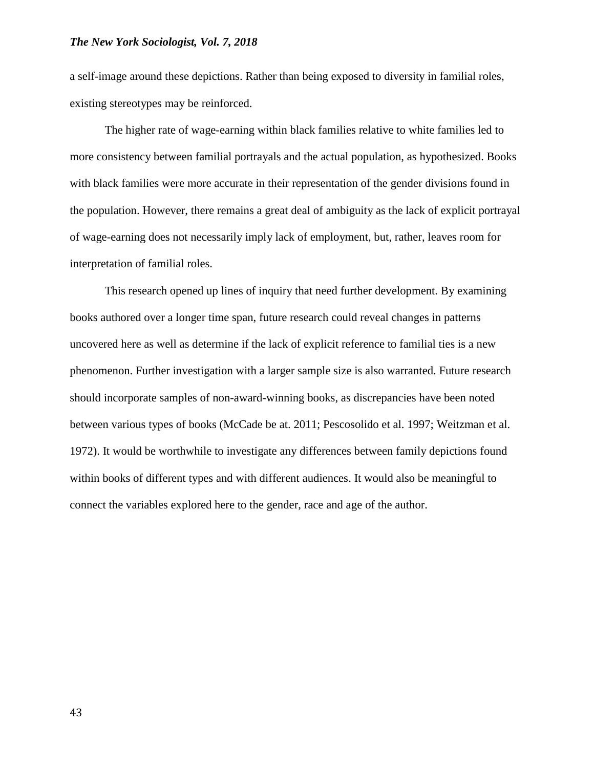a self-image around these depictions. Rather than being exposed to diversity in familial roles, existing stereotypes may be reinforced.

The higher rate of wage-earning within black families relative to white families led to more consistency between familial portrayals and the actual population, as hypothesized. Books with black families were more accurate in their representation of the gender divisions found in the population. However, there remains a great deal of ambiguity as the lack of explicit portrayal of wage-earning does not necessarily imply lack of employment, but, rather, leaves room for interpretation of familial roles.

This research opened up lines of inquiry that need further development. By examining books authored over a longer time span, future research could reveal changes in patterns uncovered here as well as determine if the lack of explicit reference to familial ties is a new phenomenon. Further investigation with a larger sample size is also warranted. Future research should incorporate samples of non-award-winning books, as discrepancies have been noted between various types of books (McCade be at. 2011; Pescosolido et al. 1997; Weitzman et al. 1972). It would be worthwhile to investigate any differences between family depictions found within books of different types and with different audiences. It would also be meaningful to connect the variables explored here to the gender, race and age of the author.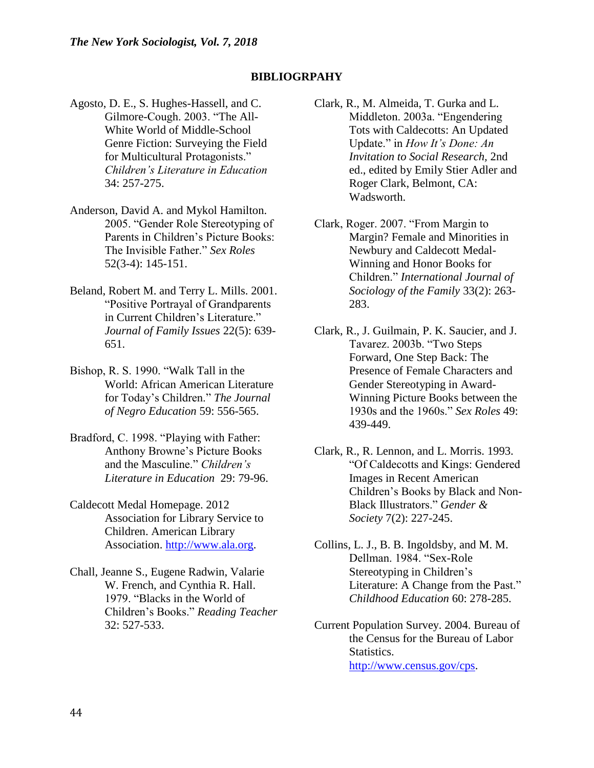### **BIBLIOGRPAHY**

- Agosto, D. E., S. Hughes-Hassell, and C. Gilmore-Cough. 2003. "The All-White World of Middle-School Genre Fiction: Surveying the Field for Multicultural Protagonists." *Children's Literature in Education*  34: 257-275.
- Anderson, David A. and Mykol Hamilton. 2005. "Gender Role Stereotyping of Parents in Children's Picture Books: The Invisible Father." *Sex Roles* 52(3-4): 145-151.
- Beland, Robert M. and Terry L. Mills. 2001. "Positive Portrayal of Grandparents in Current Children's Literature." *Journal of Family Issues* 22(5): 639- 651.
- Bishop, R. S. 1990. "Walk Tall in the World: African American Literature for Today's Children." *The Journal of Negro Education* 59: 556-565.
- Bradford, C. 1998. "Playing with Father: Anthony Browne's Picture Books and the Masculine." *Children's Literature in Education* 29: 79-96.
- Caldecott Medal Homepage. 2012 Association for Library Service to Children. American Library Association. [http://www.ala.org.](http://www.ala.org/)
- Chall, Jeanne S., Eugene Radwin, Valarie W. French, and Cynthia R. Hall. 1979. "Blacks in the World of Children's Books." *Reading Teacher* 32: 527-533.
- Clark, R., M. Almeida, T. Gurka and L. Middleton. 2003a. "Engendering Tots with Caldecotts: An Updated Update." in *How It's Done: An Invitation to Social Research,* 2nd ed., edited by Emily Stier Adler and Roger Clark, Belmont, CA: Wadsworth.
- Clark, Roger. 2007. "From Margin to Margin? Female and Minorities in Newbury and Caldecott Medal-Winning and Honor Books for Children." *International Journal of Sociology of the Family* 33(2): 263- 283.
- Clark, R., J. Guilmain, P. K. Saucier, and J. Tavarez. 2003b. "Two Steps Forward, One Step Back: The Presence of Female Characters and Gender Stereotyping in Award-Winning Picture Books between the 1930s and the 1960s." *Sex Roles* 49: 439-449.
- Clark, R., R. Lennon, and L. Morris. 1993. "Of Caldecotts and Kings: Gendered Images in Recent American Children's Books by Black and Non-Black Illustrators." *Gender & Society* 7(2): 227-245.
- Collins, L. J., B. B. Ingoldsby, and M. M. Dellman. 1984. "Sex-Role Stereotyping in Children's Literature: A Change from the Past." *Childhood Education* 60: 278-285.
- Current Population Survey. 2004. Bureau of the Census for the Bureau of Labor Statistics. [http://www.census.gov/cps.](http://www.census.gov/cps)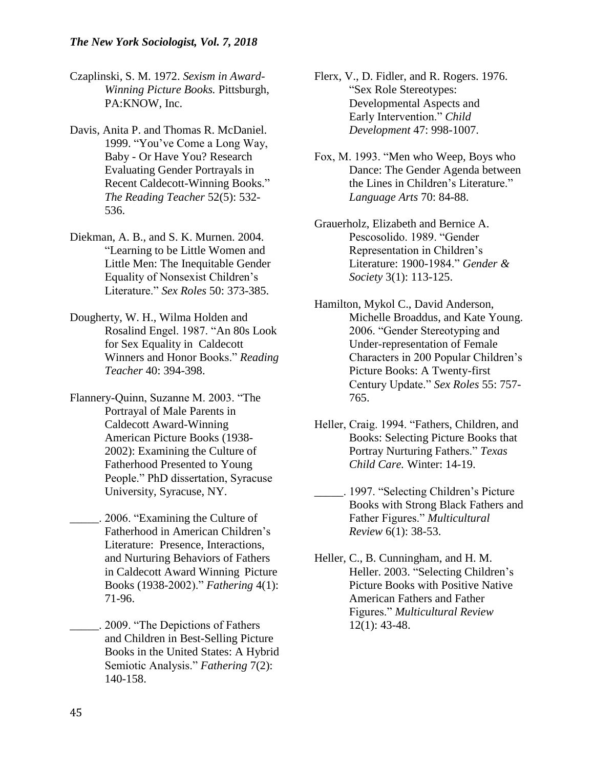- Czaplinski, S. M. 1972. *Sexism in Award-Winning Picture Books.* Pittsburgh, PA:KNOW, Inc.
- Davis, Anita P. and Thomas R. McDaniel. 1999. "You've Come a Long Way, Baby - Or Have You? Research Evaluating Gender Portrayals in Recent Caldecott-Winning Books." *The Reading Teacher* 52(5): 532- 536.
- Diekman, A. B., and S. K. Murnen. 2004. "Learning to be Little Women and Little Men: The Inequitable Gender Equality of Nonsexist Children's Literature." *Sex Roles* 50: 373-385.
- Dougherty, W. H., Wilma Holden and Rosalind Engel. 1987. "An 80s Look for Sex Equality in Caldecott Winners and Honor Books." *Reading Teacher* 40: 394-398.
- Flannery-Quinn, Suzanne M. 2003. "The Portrayal of Male Parents in Caldecott Award-Winning American Picture Books (1938- 2002): Examining the Culture of Fatherhood Presented to Young People." PhD dissertation, Syracuse University, Syracuse, NY.
- \_\_\_\_\_. 2006. "Examining the Culture of Fatherhood in American Children's Literature: Presence, Interactions, and Nurturing Behaviors of Fathers in Caldecott Award Winning Picture Books (1938-2002)." *Fathering* 4(1): 71-96.
- \_\_\_\_\_. 2009. "The Depictions of Fathers and Children in Best-Selling Picture Books in the United States: A Hybrid Semiotic Analysis." *Fathering* 7(2): 140-158.
- Flerx, V., D. Fidler, and R. Rogers. 1976. "Sex Role Stereotypes: Developmental Aspects and Early Intervention." *Child Development* 47: 998-1007.
- Fox, M. 1993. "Men who Weep, Boys who Dance: The Gender Agenda between the Lines in Children's Literature." *Language Arts* 70: 84-88.
- Grauerholz, Elizabeth and Bernice A. Pescosolido. 1989. "Gender Representation in Children's Literature: 1900-1984." *Gender & Society* 3(1): 113-125.
- Hamilton, Mykol C., David Anderson, Michelle Broaddus, and Kate Young. 2006. "Gender Stereotyping and Under-representation of Female Characters in 200 Popular Children's Picture Books: A Twenty-first Century Update." *Sex Roles* 55: 757- 765.
- Heller, Craig. 1994. "Fathers, Children, and Books: Selecting Picture Books that Portray Nurturing Fathers." *Texas Child Care.* Winter: 14-19.
	- \_\_\_\_\_. 1997. "Selecting Children's Picture Books with Strong Black Fathers and Father Figures." *Multicultural Review* 6(1): 38-53.
- Heller, C., B. Cunningham, and H. M. Heller. 2003. "Selecting Children's Picture Books with Positive Native American Fathers and Father Figures." *Multicultural Review*  12(1): 43-48.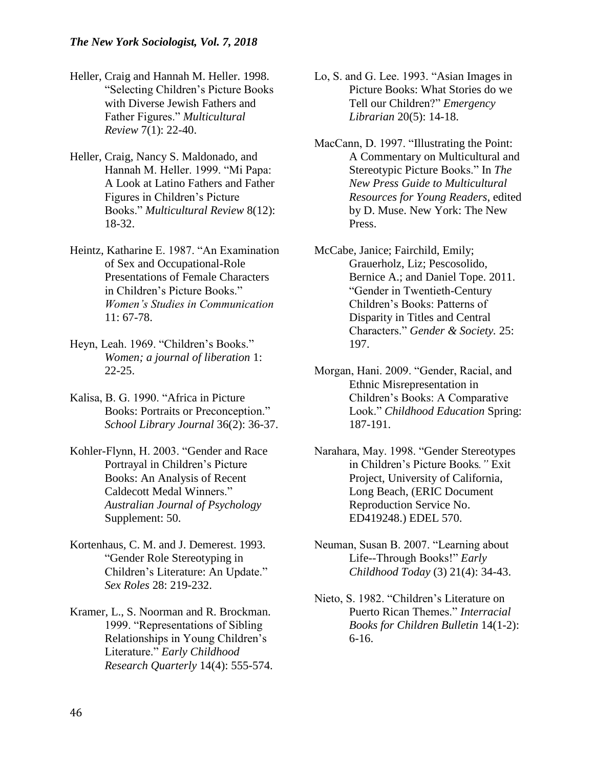- Heller, Craig and Hannah M. Heller. 1998. "Selecting Children's Picture Books with Diverse Jewish Fathers and Father Figures." *Multicultural Review* 7(1): 22-40.
- Heller, Craig, Nancy S. Maldonado, and Hannah M. Heller. 1999. "Mi Papa: A Look at Latino Fathers and Father Figures in Children's Picture Books." *Multicultural Review* 8(12): 18-32.
- Heintz, Katharine E. 1987. "An Examination of Sex and Occupational-Role Presentations of Female Characters in Children's Picture Books." *Women's Studies in Communication*  11: 67-78.
- Heyn, Leah. 1969. "Children's Books." *Women; a journal of liberation* 1: 22-25.
- Kalisa, B. G. 1990. "Africa in Picture Books: Portraits or Preconception." *School Library Journal* 36(2): 36-37.
- Kohler-Flynn, H. 2003. "Gender and Race Portrayal in Children's Picture Books: An Analysis of Recent Caldecott Medal Winners." *Australian Journal of Psychology* Supplement: 50.
- Kortenhaus, C. M. and J. Demerest. 1993. "Gender Role Stereotyping in Children's Literature: An Update." *Sex Roles* 28: 219-232.
- Kramer, L., S. Noorman and R. Brockman. 1999. "Representations of Sibling Relationships in Young Children's Literature." *Early Childhood Research Quarterly* 14(4): 555-574.
- Lo, S. and G. Lee. 1993. "Asian Images in Picture Books: What Stories do we Tell our Children?" *Emergency Librarian* 20(5): 14-18.
- MacCann, D. 1997. "Illustrating the Point: A Commentary on Multicultural and Stereotypic Picture Books." In *The New Press Guide to Multicultural Resources for Young Readers*, edited by D. Muse. New York: The New Press.
- McCabe, Janice; Fairchild, Emily; Grauerholz, Liz; Pescosolido, Bernice A.; and Daniel Tope. 2011. "Gender in Twentieth-Century Children's Books: Patterns of Disparity in Titles and Central Characters." *Gender & Society.* 25: 197.
- Morgan, Hani. 2009. "Gender, Racial, and Ethnic Misrepresentation in Children's Books: A Comparative Look." *Childhood Education* Spring: 187-191.
- Narahara, May. 1998. "Gender Stereotypes in Children's Picture Books*."* Exit Project, University of California, Long Beach, (ERIC Document Reproduction Service No. ED419248.) EDEL 570.
- Neuman, Susan B. 2007. "Learning about Life--Through Books!" *Early Childhood Today* (3) 21(4): 34-43.
- Nieto, S. 1982. "Children's Literature on Puerto Rican Themes." *Interracial Books for Children Bulletin* 14(1-2): 6-16.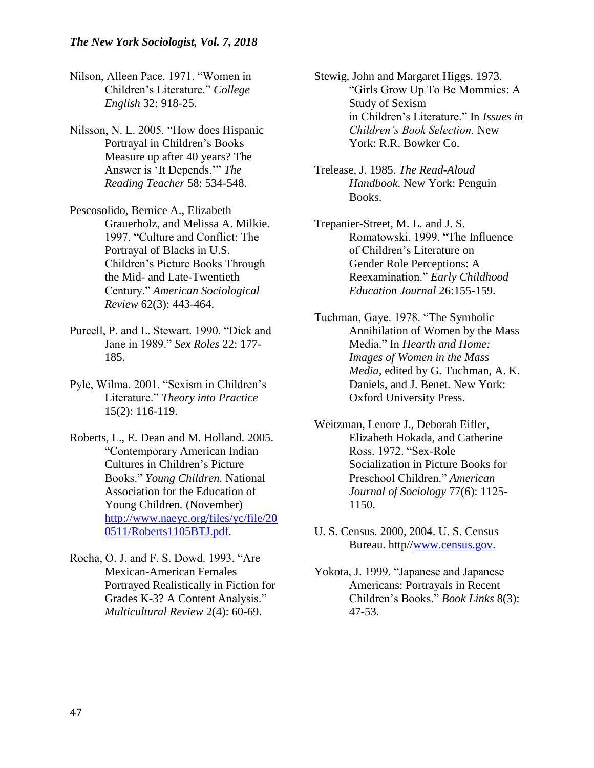- Nilson, Alleen Pace. 1971. "Women in Children's Literature." *College English* 32: 918-25.
- Nilsson, N. L. 2005. "How does Hispanic Portrayal in Children's Books Measure up after 40 years? The Answer is 'It Depends.'" *The Reading Teacher* 58: 534-548.
- Pescosolido, Bernice A., Elizabeth Grauerholz, and Melissa A. Milkie. 1997. "Culture and Conflict: The Portrayal of Blacks in U.S. Children's Picture Books Through the Mid- and Late-Twentieth Century." *American Sociological Review* 62(3): 443-464.
- Purcell, P. and L. Stewart. 1990. "Dick and Jane in 1989." *Sex Roles* 22: 177- 185.
- Pyle, Wilma. 2001. "Sexism in Children's Literature." *Theory into Practice*  15(2): 116-119.
- Roberts, L., E. Dean and M. Holland. 2005. "Contemporary American Indian Cultures in Children's Picture Books." *Young Children.* National Association for the Education of Young Children*.* (November) [http://www.naeyc.org/files/yc/file/20](http://www.naeyc.org/files/yc/file/20%090511/Roberts1105BTJ.pdf) [0511/Roberts1105BTJ.pdf.](http://www.naeyc.org/files/yc/file/20%090511/Roberts1105BTJ.pdf)
- Rocha, O. J. and F. S. Dowd. 1993. "Are Mexican-American Females Portrayed Realistically in Fiction for Grades K-3? A Content Analysis." *Multicultural Review* 2(4): 60-69.
- Stewig, John and Margaret Higgs. 1973. "Girls Grow Up To Be Mommies: A Study of Sexism in Children's Literature." In *Issues in Children's Book Selection.* New York: R.R. Bowker Co.
- Trelease, J. 1985. *The Read-Aloud Handbook*. New York: Penguin Books.
- Trepanier-Street, M. L. and J. S. Romatowski. 1999. "The Influence of Children's Literature on Gender Role Perceptions: A Reexamination." *Early Childhood Education Journal* 26:155-159.
- Tuchman, Gaye. 1978. "The Symbolic Annihilation of Women by the Mass Media." In *Hearth and Home: Images of Women in the Mass Media,* edited by G. Tuchman, A. K. Daniels, and J. Benet. New York: Oxford University Press.
- Weitzman, Lenore J., Deborah Eifler, Elizabeth Hokada, and Catherine Ross. 1972. "Sex-Role Socialization in Picture Books for Preschool Children." *American Journal of Sociology* 77(6): 1125- 1150.
- U. S. Census. 2000, 2004. U. S. Census Bureau. http/[/www.census.gov.](http://www.census.gov/)
- Yokota, J. 1999. "Japanese and Japanese Americans: Portrayals in Recent Children's Books." *Book Links* 8(3): 47-53.